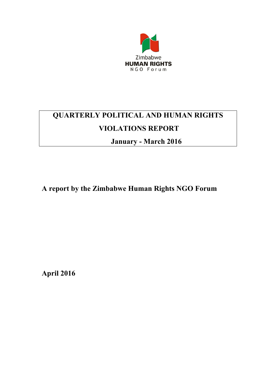

# **QUARTERLY POLITICAL AND HUMAN RIGHTS VIOLATIONS REPORT**

**January - March 2016**

**A report by the Zimbabwe Human Rights NGO Forum**

**April 2016**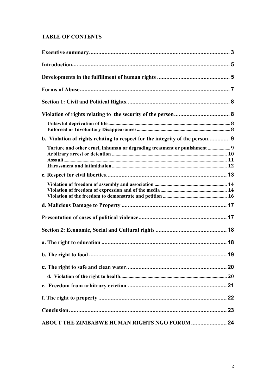## **TABLE OF CONTENTS**

| b. Violation of rights relating to respect for the integrity of the person 9 |    |
|------------------------------------------------------------------------------|----|
| Torture and other cruel, inhuman or degrading treatment or punishment  9     |    |
|                                                                              |    |
|                                                                              |    |
|                                                                              |    |
|                                                                              |    |
|                                                                              |    |
|                                                                              |    |
|                                                                              | 19 |
|                                                                              |    |
|                                                                              |    |
|                                                                              |    |
|                                                                              |    |
| ABOUT THE ZIMBABWE HUMAN RIGHTS NGO FORUM  24                                |    |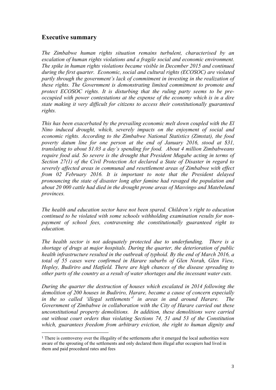## **Executive summary**

*The Zimbabwe human rights situation remains turbulent, characterised by an escalation of human rights violations and a fragile social and economic environment. The spike in human rights violations became visible in December 2015 and continued during the first quarter. Economic, social and cultural rights (ECOSOC) are violated partly through the government's lack of commitment in investing in the realization of these rights. The Government is demonstrating limited commitment to promote and protect ECOSOC rights. It is disturbing that the ruling party seems to be preoccupied with power contestations at the expense of the economy which is in a dire state making it very difficult for citizens to access their constitutionally guaranteed rights.*

*This has been exacerbated by the prevailing economic melt down coupled with the El Nino induced drought, which, severely impacts on the enjoyment of social and economic rights. According to the Zimbabwe National Statistics (Zimstat), the food poverty datum line for one person at the end of January 2016, stood at \$31, translating to about \$1.03 a day's spending for food. About 4 million Zimbabweans require food aid. So severe is the drought that President Mugabe acting in terms of Section 27(1) of the Civil Protection Act declared a State of Disaster in regard to severely affected areas in communal and resettlement areas of Zimbabwe with effect from 02 February 2016. It is important to note that the President delayed pronouncing the state of disaster long after famine had ravaged the population and about 20 000 cattle had died in the drought prone areas of Masvingo and Matebeland provinces.*

*The health and education sector have not been spared. Children's right to education continued to be violated with some schools withholding examination results for nonpayment of school fees, contravening the constitutionally guaranteed right to education.* 

*The health sector is not adequately protected due to underfunding. There is a shortage of drugs at major hospitals. During the quarter, the deterioration of public health infrastructure resulted in the outbreak of typhoid. By the end of March 2016, a total of 55 cases were confirmed in Harare suburbs of Glen Norah, Glen View, Hopley, Budiriro and Hatfield. There are high chances of the disease spreading to other parts of the country as a result of water shortages and the incessant water cuts.* 

*During the quarter the destruction of houses which escalated in 2014 following the demolition of 200 houses in Budiriro, Harare, became a cause of concern especially in the so called 'illegal settlements'<sup>1</sup> in areas in and around Harare. The Government of Zimbabwe in collaboration with the City of Harare carried out these unconstitutional property demolitions. In addition, these demolitions were carried out without court orders thus violating Sections 74, 51 and 53 of the Constitution which, guarantees freedom from arbitrary eviction, the right to human dignity and*

<sup>1</sup> There is controversy over the illegality of the settlements after it emerged the local authorities were aware of the sprouting of the settlements and only declared them illegal after occupiers had lived in them and paid procedural rates and fees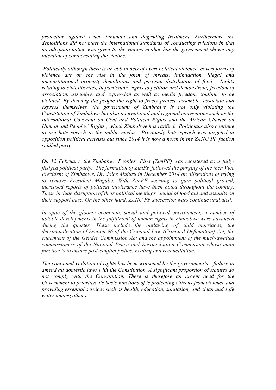*protection against cruel, inhuman and degrading treatment. Furthermore the demolitions did not meet the international standards of conducting evictions in that no adequate notice was given to the victims neither has the government shown any intention of compensating the victims.*

*Politically although there is an ebb in acts of overt political violence, covert forms of violence are on the rise in the form of threats, intimidation, illegal and unconstitutional property demolitions and partisan distribution of food. Rights relating to civil liberties, in particular, rights to petition and demonstrate; freedom of association, assembly, and expression as well as media freedom continue to be violated. By denying the people the right to freely protest, assemble, associate and express themselves, the government of Zimbabwe is not only violating the Constitution of Zimbabwe but also international and regional conventions such as the International Covenant on Civil and Political Rights and the African Charter on Human and Peoples' Rights', which Zimbabwe has ratified. Politicians also continue to use hate speech in the public media. Previously hate speech was targeted at opposition political activists but since 2014 it is now a norm in the ZANU PF faction riddled party.* 

*On 12 February, the Zimbabwe Peoples' First (ZimPF) was registered as a fullyfledged political party. The formation of ZimPF followed the purging of the then Vice President of Zimbabwe, Dr. Joice Mujuru in December 2014 on allegations of trying to remove President Mugabe. With ZimPF seeming to gain political ground, increased reports of political intolerance have been noted throughout the country. These include disruption of their political meetings, denial of food aid and assaults on their support base. On the other hand, ZANU PF succession wars continue unabated.* 

*In spite of the gloomy economic, social and political environment, a number of notable developments in the fulfillment of human rights in Zimbabwe were advanced during the quarter. These include the outlawing of child marriages, the decriminalization of Section 96 of the Criminal Law (Criminal Defamation) Act, the enactment of the Gender Commission Act and the appointment of the much-awaited commissioners of the National Peace and Reconciliation Commission whose main function is to ensure post-conflict justice, healing and reconciliation.*

*The continued violation of rights has been worsened by the government's failure to amend all domestic laws with the Constitution. A significant proportion of statutes do*  not comply with the Constitution. There is therefore an urgent need for the *Government to prioritise its basic functions of is protecting citizens from violence and providing essential services such as health, education, sanitation, and clean and safe water among others.*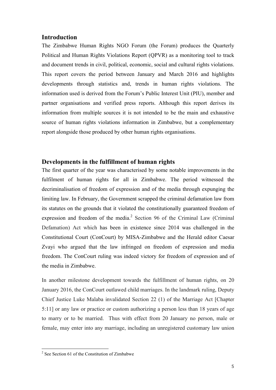#### **Introduction**

The Zimbabwe Human Rights NGO Forum (the Forum) produces the Quarterly Political and Human Rights Violations Report (QPVR) as a monitoring tool to track and document trends in civil, political, economic, social and cultural rights violations. This report covers the period between January and March 2016 and highlights developments through statistics and, trends in human rights violations. The information used is derived from the Forum's Public Interest Unit (PIU), member and partner organisations and verified press reports. Although this report derives its information from multiple sources it is not intended to be the main and exhaustive source of human rights violations information in Zimbabwe, but a complementary report alongside those produced by other human rights organisations.

### **Developments in the fulfillment of human rights**

The first quarter of the year was characterised by some notable improvements in the fulfilment of human rights for all in Zimbabwe. The period witnessed the decriminalisation of freedom of expression and of the media through expunging the limiting law. In February, the Government scrapped the criminal defamation law from its statutes on the grounds that it violated the constitutionally guaranteed freedom of expression and freedom of the media. $^2$  Section 96 of the Criminal Law (Criminal Defamation) Act which has been in existence since 2014 was challenged in the Constitutional Court (ConCourt) by MISA-Zimbabwe and the Herald editor Caesar Zvayi who argued that the law infringed on freedom of expression and media freedom. The ConCourt ruling was indeed victory for freedom of expression and of the media in Zimbabwe.

In another milestone development towards the fulfillment of human rights, on 20 January 2016, the ConCourt outlawed child marriages. In the landmark ruling, Deputy Chief Justice Luke Malaba invalidated Section 22 (1) of the Marriage Act [Chapter 5:11] or any law or practice or custom authorizing a person less than 18 years of age to marry or to be married. Thus with effect from 20 January no person, male or female, may enter into any marriage, including an unregistered customary law union

<sup>&</sup>lt;sup>2</sup> See Section 61 of the Constitution of Zimbabwe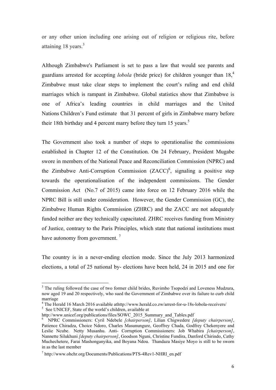or any other union including one arising out of religion or religious rite, before attaining 18 years.<sup>3</sup>

Although Zimbabwe's Parliament is set to pass a law that would see parents and guardians arrested for accepting *lobola* (bride price) for children younger than 18,<sup>4</sup> Zimbabwe must take clear steps to implement the court's ruling and end child marriages which is rampant in Zimbabwe. Global statistics show that Zimbabwe is one of Africa's leading countries in child marriages and the United Nations Children's Fund estimate that 31 percent of girls in Zimbabwe marry before their 18th birthday and 4 percent marry before they turn 15 years.<sup>5</sup>

The Government also took a number of steps to operationalise the commissions established in Chapter 12 of the Constitution. On 24 February, President Mugabe swore in members of the National Peace and Reconciliation Commission (NPRC) and the Zimbabwe Anti-Corruption Commission  $(ZACC)^6$ , signaling a positive step towards the operationalisation of the independent commissions. The Gender Commission Act (No.7 of 2015) came into force on 12 February 2016 while the NPRC Bill is still under consideration. However, the Gender Commission (GC), the Zimbabwe Human Rights Commission (ZHRC) and the ZACC are not adequately funded neither are they technically capacitated. ZHRC receives funding from Ministry of Justice, contrary to the Paris Principles, which state that national institutions must have autonomy from government.<sup>7</sup>

The country is in a never-ending election mode. Since the July 2013 harmonized elections, a total of 25 national by- elections have been held, 24 in 2015 and one for

<sup>&</sup>lt;sup>3</sup> The ruling followed the case of two former child brides, Ruvimbo Tsopodzi and Loveness Mudzura, now aged 19 and 20 respectively, who sued the Government of Zimbabwe over its failure to curb child marriage

<sup>&</sup>lt;sup>4</sup> The Herald 16 March 2016 available athttp://www.herald.co.zw/arrest-for-u-18s-lobola-receivers/<br><sup>5</sup> See UNICEF, State of the world's children, available at

http://www.unicef.org/publications/files/SOWC\_2015\_Summary\_and\_Tables.pdf

<sup>6</sup> NPRC Commissioners: Cyril Ndebele *[chairperson]*, Lilian Chigwedere *[deputy chairperson]*, Patience Chiradza, Choice Ndoro, Charles Masunungure, Geoffrey Chada, Godfrey Chekenyere and Leslie Ncube. Netty Musanhu. Anti- Corruption Commissioners: Job Whabira *[chairperson]*, Nannette Silukhuni *[deputy chairperson]*, Goodson Nguni, Christine Fundira, Danford Chirindo, Cathy Muchechetere, Farai Mashonganyika, and Boyana Ndou. Thandaza Masiye Moyo is still to be sworn in as the last member

<sup>7</sup> http://www.ohchr.org/Documents/Publications/PTS-4Rev1-NHRI\_en.pdf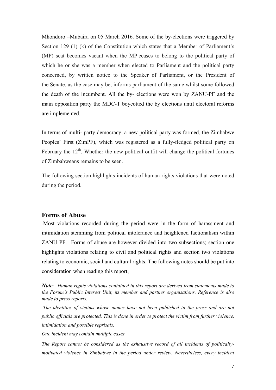Mhondoro –Mubaira on 05 March 2016. Some of the by-elections were triggered by Section 129 (1) (k) of the Constitution which states that a Member of Parliament's (MP) seat becomes vacant when the MP ceases to belong to the political party of which he or she was a member when elected to Parliament and the political party concerned, by written notice to the Speaker of Parliament, or the President of the Senate, as the case may be, informs parliament of the same whilst some followed the death of the incumbent. All the by- elections were won by ZANU-PF and the main opposition party the MDC-T boycotted the by elections until electoral reforms are implemented.

In terms of multi- party democracy, a new political party was formed, the Zimbabwe Peoples' First (ZimPF), which was registered as a fully-fledged political party on February the  $12<sup>th</sup>$ . Whether the new political outfit will change the political fortunes of Zimbabweans remains to be seen.

The following section highlights incidents of human rights violations that were noted during the period.

#### **Forms of Abuse**

 Most violations recorded during the period were in the form of harassment and intimidation stemming from political intolerance and heightened factionalism within ZANU PF. Forms of abuse are however divided into two subsections; section one highlights violations relating to civil and political rights and section two violations relating to economic, social and cultural rights. The following notes should be put into consideration when reading this report;

*Note: Human rights violations contained in this report are derived from statements made to the Forum's Public Interest Unit, its member and partner organisations. Reference is also made to press reports.* 

*The identities of victims whose names have not been published in the press and are not public officials are protected. This is done in order to protect the victim from further violence, intimidation and possible reprisals.*

*One incident may contain multiple cases*

*The Report cannot be considered as the exhaustive record of all incidents of politicallymotivated violence in Zimbabwe in the period under review. Nevertheless, every incident*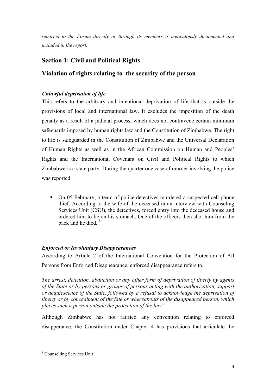*reported to the Forum directly or through its members is meticulously documented and included in the report.* 

# **Section 1: Civil and Political Rights**

# **Violation of rights relating to the security of the person**

## *Unlawful deprivation of life*

This refers to the arbitrary and intentional deprivation of life that is outside the provisions of local and international law. It excludes the imposition of the death penalty as a result of a judicial process, which does not contravene certain minimum safeguards imposed by human rights law and the Constitution of Zimbabwe. The right to life is safeguarded in the Constitution of Zimbabwe and the Universal Declaration of Human Rights as well as in the African Commission on Human and Peoples' Rights and the International Covenant on Civil and Political Rights to which Zimbabwe is a state party. During the quarter one case of murder involving the police was reported.

 On 05 February, a team of police detectives murdered a suspected cell phone thief. According to the wife of the deceased in an interview with Counseling Services Unit (CSU), the detectives, forced entry into the deceased house and ordered him to lie on his stomach. One of the officers then shot him from the back and he died. 8

## *Enforced or Involuntary Disappearances*

According to Article 2 of the International Convention for the Protection of All Persons from Enforced Disappearance, enforced disappearance refers to,

*The arrest, detention, abduction or any other form of deprivation of liberty by agents of the State or by persons or groups of persons acting with the authorization, support or acquiescence of the State, followed by a refusal to acknowledge the deprivation of liberty or by concealment of the fate or whereabouts of the disappeared person, which places such a person outside the protection of the law"*

Although Zimbabwe has not ratified any convention relating to enforced disapperance, the Constitution under Chapter 4 has provisions that articulate the

<sup>!!!!!!!!!!!!!!!!!!!!!!!!!!!!!!!!!!!!!!!!!!!!!!!!!!!!!!!</sup> 8 Counselling Services Unit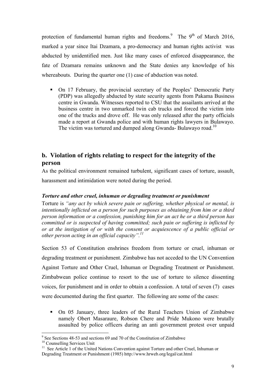protection of fundamental human rights and freedoms.<sup>9</sup> The 9<sup>th</sup> of March 2016, marked a year since Itai Dzamara, a pro-democracy and human rights activist was abducted by unidentified men. Just like many cases of enforced disappearance, the fate of Dzamara remains unknown and the State denies any knowledge of his whereabouts. During the quarter one (1) case of abduction was noted.

• On 17 February, the provincial secretary of the Peoples' Democratic Party (PDP) was allegedly abducted by state security agents from Pakama Business centre in Gwanda. Witnesses reported to CSU that the assailants arrived at the business centre in two unmarked twin cab trucks and forced the victim into one of the trucks and drove off. He was only released after the party officials made a report at Gwanda police and with human rights lawyers in Bulawayo. The victim was tortured and dumped along Gwanda- Bulawayo road.<sup>10</sup>

# **b. Violation of rights relating to respect for the integrity of the person**

As the political environment remained turbulent, significant cases of torture, assault, harassment and intimidation were noted during the period.

#### *Torture and other cruel, inhuman or degrading treatment or punishment*

Torture is *"any act by which severe pain or suffering, whether physical or mental, is intentionally inflicted on a person for such purposes as obtaining from him or a third person information or a confession, punishing him for an act he or a third person has committed or is suspected of having committed; such pain or suffering is inflicted by or at the instigation of or with the consent or acquiescence of a public official or other person acting in an official capacity".11*

Section 53 of Constitution enshrines freedom from torture or cruel, inhuman or degrading treatment or punishment. Zimbabwe has not acceded to the UN Convention Against Torture and Other Cruel, Inhuman or Degrading Treatment or Punishment. Zimbabwean police continue to resort to the use of torture to silence dissenting voices, for punishment and in order to obtain a confession. A total of seven (7) cases were documented during the first quarter. The following are some of the cases:

 On 05 January, three leaders of the Rural Teachers Union of Zimbabwe namely Obert Masaraure, Robson Chere and Pride Mukono were brutally assaulted by police officers during an anti government protest over unpaid

<sup>&</sup>lt;sup>9</sup> See Sections 48-53 and sections 69 and 70 of the Constitution of Zimbabwe  $^{10}$  Counselling Services Unit

<sup>&</sup>lt;sup>10</sup> Counselling Services Unit<br><sup>11</sup> See Article 1 of the United Nations Convention against Torture and other Cruel, Inhuman or Degrading Treatment or Punishment (1985) http://www.hrweb.org/legal/cat.html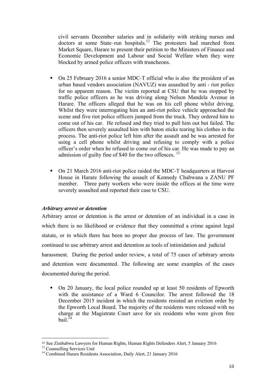civil servants December salaries and in solidarity with striking nurses and doctors at some State–run hospitals.<sup>12</sup> The protesters had marched from Market Square, Harare to present their petition to the Ministers of Finance and Economic Development and Labour and Social Welfare when they were blocked by armed police officers with truncheons.

- On 25 February 2016 a senior MDC-T official who is also the president of an urban based vendors association (NAVUZ) was assaulted by anti - riot police for no apparent reason. The victim reported at CSU that he was stopped by traffic police officers as he was driving along Nelson Mandela Avenue in Harare. The officers alleged that he was on his cell phone whilst driving. Whilst they were interrogating him an anti-riot police vehicle approached the scene and five riot police officers jumped from the truck. They ordered him to come out of his car. He refused and they tried to pull him out but failed. The officers then severely assaulted him with baton sticks tearing his clothes in the process. The anti-riot police left him after the assault and he was arrested for using a cell phone whilst driving and refusing to comply with a police officer's order when he refused to come out of his car. He was made to pay an admission of guilty fine of \$40 for the two offences.<sup>13</sup>
- On 21 March 2016 anti-riot police raided the MDC-T headquarters at Harvest House in Harare following the assault of Kennedy Chabwana a ZANU PF member. Three party workers who were inside the offices at the time were severely assaulted and reported their case to CSU.

#### *Arbitrary arrest or detention*

Arbitrary arrest or detention is the arrest or detention of an individual in a case in which there is no likelihood or evidence that they committed a crime against legal statute, or in which there has been no proper due process of law. The government continued to use arbitrary arrest and detention as tools of intimidation and judicial harassment. During the period under review, a total of 75 cases of arbitrary arrests and detention were documented. The following are some examples of the cases documented during the period.

 On 20 January, the local police rounded up at least 50 residents of Epworth with the assistance of a Ward 6 Councilor. The arrest followed the 18 December 2015 incident in which the residents resisted an eviction order by the Epworth Local Board. The majority of the residents were released with no charge at the Magistrate Court save for six residents who were given free bail. $^{14}$ 

<sup>&</sup>lt;sup>12</sup> See Zimbabwe Lawyers for Human Rights, Human Rights Defenders Alert, 5 January 2016<sup>13</sup> Counselling Services Unit

<sup>&</sup>lt;sup>14</sup> Combined Harare Residents Association, Daily Alert, 21 January 2016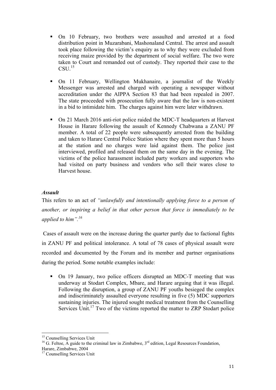- On 10 February, two brothers were assaulted and arrested at a food distribution point in Muzarabani, Mashonaland Central. The arrest and assault took place following the victim's enquiry as to why they were excluded from receiving maize provided by the department of social welfare. The two were taken to Court and remanded out of custody. They reported their case to the  $CSU<sup>15</sup>$
- On 11 February, Wellington Mukhanaire, a journalist of the Weekly Messenger was arrested and charged with operating a newspaper without accreditation under the AIPPA Section 83 that had been repealed in 2007. The state proceeded with prosecution fully aware that the law is non-existent in a bid to intimidate him. The charges against him were later withdrawn.
- On 21 March 2016 anti-riot police raided the MDC-T headquarters at Harvest House in Harare following the assault of Kennedy Chabwana a ZANU PF member. A total of 22 people were subsequently arrested from the building and taken to Harare Central Police Station where they spent more than 5 hours at the station and no charges were laid against them. The police just interviewed, profiled and released them on the same day in the evening. The victims of the police harassment included party workers and supporters who had visited on party business and vendors who sell their wares close to Harvest house.

#### *Assault*

This refers to an act of *"unlawfully and intentionally applying force to a person of another, or inspiring a belief in that other person that force is immediately to be applied to him".<sup>16</sup>*

 Cases of assault were on the increase during the quarter partly due to factional fights in ZANU PF and political intolerance. A total of 78 cases of physical assault were recorded and documented by the Forum and its member and partner organisations during the period. Some notable examples include:

 On 19 January, two police officers disrupted an MDC-T meeting that was underway at Stodart Complex, Mbare, and Harare arguing that it was illegal. Following the disruption, a group of ZANU PF youths besieged the complex and indiscriminately assaulted everyone resulting in five (5) MDC supporters sustaining injuries. The injured sought medical treatment from the Counselling Services Unit.<sup>17</sup> Two of the victims reported the matter to ZRP Stodart police

<sup>!!!!!!!!!!!!!!!!!!!!!!!!!!!!!!!!!!!!!!!!!!!!!!!!!!!!!!!</sup>

<sup>&</sup>lt;sup>15</sup> Counselling Services Unit 16 G. Feltoe, A guide to the criminal law in Zimbabwe,  $3<sup>rd</sup>$  edition, Legal Resources Foundation, Harare, Zimbabwe, 2004

<sup>&</sup>lt;sup>17</sup> Counselling Services Unit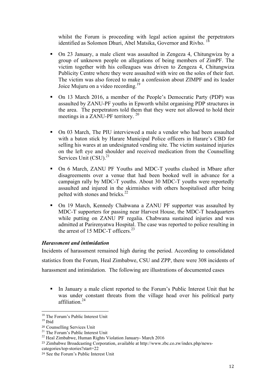whilst the Forum is proceeding with legal action against the perpetrators identified as Solomon Dhuri, Abel Matsika, Governor and Rivho.<sup>1</sup>

- On 23 January, a male client was assaulted in Zengeza 4, Chitungwiza by a group of unknown people on allegations of being members of ZimPF. The victim together with his colleagues was driven to Zengeza 4, Chitungwiza Publicity Centre where they were assaulted with wire on the soles of their feet. The victim was also forced to make a confession about ZIMPF and its leader Joice Mujuru on a video recording.<sup>19</sup>
- On 13 March 2016, a member of the People's Democratic Party (PDP) was assaulted by ZANU-PF youths in Epworth whilst organising PDP structures in the area. The perpetrators told them that they were not allowed to hold their meetings in a ZANU-PF territory.<sup>20</sup>
- On 03 March, The PIU interviewed a male a vendor who had been assaulted with a baton stick by Harare Municipal Police officers in Harare's CBD for selling his wares at an undesignated vending site. The victim sustained injuries on the left eye and shoulder and received medication from the Counselling Services Unit (CSU).<sup>21</sup>
- On 6 March, ZANU PF Youths and MDC-T youths clashed in Mbare after disagreements over a venue that had been booked well in advance for a campaign rally by MDC-T youths. About 30 MDC-T youths were reportedly assaulted and injured in the skirmishes with others hospitalised after being pelted with stones and bricks.<sup>22</sup>
- On 19 March, Kennedy Chabwana a ZANU PF supporter was assaulted by MDC-T supporters for passing near Harvest House, the MDC-T headquarters while putting on ZANU PF regalia. Chabwana sustained injuries and was admitted at Parirenyatwa Hospital. The case was reported to police resulting in the arrest of 15 MDC-T officers.<sup>23</sup>

#### *Harassment and intimidation*

Incidents of harassment remained high during the period. According to consolidated statistics from the Forum, Heal Zimbabwe, CSU and ZPP, there were 308 incidents of harassment and intimidation. The following are illustrations of documented cases

In January a male client reported to the Forum's Public Interest Unit that he was under constant threats from the village head over his political party affiliation $24$ 

<sup>!!!!!!!!!!!!!!!!!!!!!!!!!!!!!!!!!!!!!!!!!!!!!!!!!!!!!!!</sup> <sup>18</sup> The Forum's Public Interest Unit

 $19$  Ibid

<sup>&</sup>lt;sup>20</sup> Counselling Services Unit<br><sup>21</sup> The Forum's Public Interest Unit<br><sup>22</sup> Heal Zimbabwe, Human Rights Violation January- March 2016

<sup>23</sup> Zimbabwe Broadcasting Corporation, available at http://www.zbc.co.zw/index.php/news-

categories/top-stories?start=22

<sup>24</sup> See the Forum's Public Interest Unit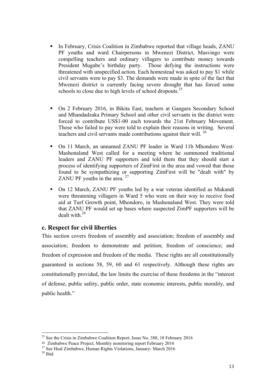- In February, Crisis Coalition in Zimbabwe reported that village heads, ZANU PF youths and ward Chairpersons in Mwenezi District, Masvingo were compelling teachers and ordinary villagers to contribute money towards President Mugabe's birthday party.Those defying the instructions were threatened with unspecified action. Each homestead was asked to pay \$1 while civil servants were to pay \$3. The demands were made in spite of the fact that Mwenezi district is currently facing severe drought that has forced some schools to close due to high levels of school dropouts.<sup>25</sup>
- On 2 February 2016, in Bikita East, teachers at Gangara Secondary School and Mhandadzaka Primary School and other civil servants in the district were forced to contribute US\$1-00 each towards the 21st February Movement. Those who failed to pay were told to explain their reasons in writing. Several teachers and civil servants made contributions against their will. 26
- On 11 March, an unnamed ZANU PF leader in Ward 11b Mhondoro West-Mashonaland West called for a meeting where he summoned traditional leaders and ZANU PF supporters and told them that they should start a process of identifying supporters of ZimFirst in the area and vowed that those found to be sympathizing or supporting ZimFirst will be "dealt with" by ZANU PF youths in the area.<sup>27</sup>
- On 12 March, ZANU PF youths led by a war veteran identified as Mukandi were threatening villagers in Ward 5 who were on their way to receive food aid at Turf Growth point, Mhondoro, in Mashonaland West. They were told that ZANU PF would set up bases where suspected ZimPF supporters will be dealt with.28

## **c. Respect for civil liberties**

This section covers freedom of assembly and association; freedom of assembly and association; freedom to demonstrate and petition; freedom of conscience; and freedom of expression and freedom of the media. These rights are all constitutionally guaranteed in sections 58, 59, 60 and 61 respectively. Although these rights are constitutionally provided, the law limits the exercise of these freedoms in the "interest of defense, public safety, public order, state economic interests, public morality, and public health."

<sup>&</sup>lt;sup>25</sup> See the Crisis in Zimbabwe Coalition Report, Issue No. 388, 18 February 2016<br><sup>26</sup> Zimbabwe Peace Proiect, Monthly monitoring report February 2016

<sup>&</sup>lt;sup>27</sup> See Heal Zimbabwe, Human Rights Violations, January- March 2016 <sup>28</sup> Ibid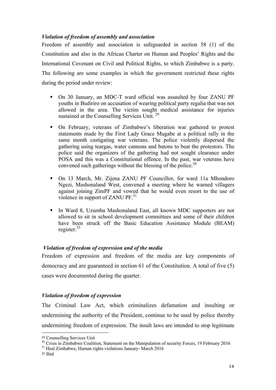#### *Violation of freedom of assembly and association*

Freedom of assembly and association is safeguarded in section 58 (1) of the Constitution and also in the African Charter on Human and Peoples' Rights and the International Covenant on Civil and Political Rights, to which Zimbabwe is a party. The following are some examples in which the government restricted these rights during the period under review:

- On 30 January, an MDC-T ward official was assaulted by four ZANU PF youths in Budiriro on accusation of wearing political party regalia that was not allowed in the area. The victim sought medical assistance for injuries sustained at the Counselling Services Unit.<sup>29</sup>
- On February, veterans of Zimbabwe's liberation war gathered to protest statements made by the First Lady Grace Mugabe at a political rally in the same month castigating war veterans. The police violently dispersed the gathering using teargas, water cannons and batons to beat the protestors. The police said the organizers of the gathering had not sought clearance under POSA and this was a Constitutional offence. In the past, war veterans have convened such gatherings without the blessing of the police.<sup>30</sup>
- On 13 March, Mr. Zijena ZANU PF Councillor, for ward 11a Mhondoro Ngezi, Mashonaland West, convened a meeting where he warned villagers against joining ZimPF and vowed that he would even resort to the use of violence in support of ZANU PF.<sup>31</sup>
- In Ward 8, Uzumba Mashonaland East, all known MDC supporters are not allowed to sit in school development committees and some of their children have been struck off the Basic Education Assistance Module (BEAM) register. $32$

#### *Violation of freedom of expression and of the media*

Freedom of expression and freedom of the media are key components of democracy and are guaranteed in section 61 of the Constitution. A total of five (5) cases were documented during the quarter.

#### *Violation of freedom of expression*

The Criminal Law Act, which criminalizes defamation and insulting or undermining the authority of the President, continue to be used by police thereby undermining freedom of expression. The insult laws are intended to stop legitimate

<sup>&</sup>lt;sup>29</sup> Counselling Services Unit  $\frac{30}{10}$  Crisis in Zimbabwe Coalition, Statement on the Manipulation of security Forces, 19 February 2016  $\frac{31}{10}$  Heal Zimbabwe, Human rights violations January- March 2016

<sup>32</sup> Ibid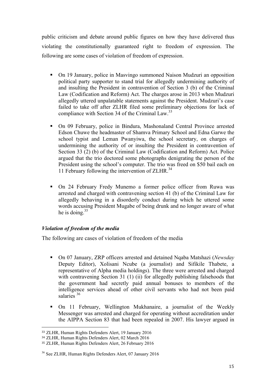public criticism and debate around public figures on how they have delivered thus violating the constitutionally guaranteed right to freedom of expression. The following are some cases of violation of freedom of expression.

- On 19 January, police in Masvingo summoned Naison Mudzuri an opposition political party supporter to stand trial for allegedly undermining authority of and insulting the President in contravention of Section 3 (b) of the Criminal Law (Codification and Reform) Act. The charges arose in 2013 when Mudzuri allegedly uttered unpalatable statements against the President. Mudzuri's case failed to take off after ZLHR filed some preliminary objections for lack of compliance with Section 34 of the Criminal Law.<sup>33</sup>
- On 09 February, police in Bindura, Mashonaland Central Province arrested Edson Chuwe the headmaster of Shamva Primary School and Edna Garwe the school typist and Leman Pwanyiwa, the school secretary, on charges of undermining the authority of or insulting the President in contravention of Section 33 (2) (b) of the Criminal Law (Codification and Reform) Act. Police argued that the trio doctored some photographs denigrating the person of the President using the school's computer. The trio was freed on \$50 bail each on 11 February following the intervention of  $ZLHR$ <sup>34</sup>
- On 24 February Fredy Munemo a former police officer from Ruwa was arrested and charged with contravening section 41 (b) of the Criminal Law for allegedly behaving in a disorderly conduct during which he uttered some words accusing President Mugabe of being drunk and no longer aware of what he is doing. $35$

#### *Violation of freedom of the media*

The following are cases of violation of freedom of the media

- On 07 January, ZRP officers arrested and detained Nqaba Matshazi (*Newsday*  Deputy Editor), Xolisani Ncube (a journalist) and Sifikile Thabete, a representative of Alpha media holdings). The three were arrested and charged with contravening Section 31 (1) (ii) for allegedly publishing falsehoods that the government had secretly paid annual bonuses to members of the intelligence services ahead of other civil servants who had not been paid salaries <sup>36</sup>
- On 11 February, Wellington Mukhanaire, a journalist of the Weekly Messenger was arrested and charged for operating without accreditation under the AIPPA Section 83 that had been repealed in 2007. His lawyer argued in

<sup>33</sup> ZLHR, Human Rights Defenders Alert, 19 January 2016

<sup>34</sup> ZLHR, Human Rights Defenders Alert, 02 March 2016

<sup>35</sup> ZLHR, Human Rights Defenders Alert, 26 February 2016

<sup>36</sup> See ZLHR, Human Rights Defenders Alert, 07 January 2016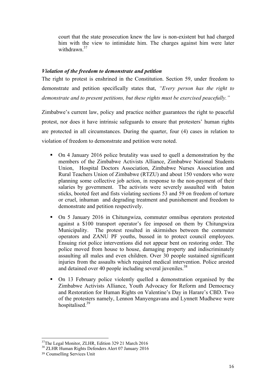court that the state prosecution knew the law is non-existent but had charged him with the view to intimidate him. The charges against him were later withdrawn $37$ 

#### *Violation of the freedom to demonstrate and petition*

The right to protest is enshrined in the Constitution. Section 59, under freedom to demonstrate and petition specifically states that, *"Every person has the right to demonstrate and to present petitions, but these rights must be exercised peacefully."*

Zimbabwe's current law, policy and practice neither guarantees the right to peaceful protest, nor does it have intrinsic safeguards to ensure that protesters' human rights are protected in all circumstances. During the quarter, four (4) cases in relation to violation of freedom to demonstrate and petition were noted.

- On 4 January 2016 police brutality was used to quell a demonstration by the members of the Zimbabwe Activists Alliance, Zimbabwe National Students Union, Hospital Doctors Association, Zimbabwe Nurses Association and Rural Teachers Union of Zimbabwe (RTZU) and about 150 vendors who were planning some collective job action, in response to the non-payment of their salaries by government. The activists were severely assaulted with baton sticks, booted feet and fists violating sections 53 and 59 on freedom of torture or cruel, inhuman and degrading treatment and punishement and freedom to demonstrate and petition respectively.
- On 5 January 2016 in Chitungwiza, commuter omnibus operators protested against a \$100 transport operator's fee imposed on them by Chitungwiza Municipality. The protest resulted in skirmishes between the commuter operators and ZANU PF youths, bussed in to protect council employees. Ensuing riot police interventions did not appear bent on restoring order. The police moved from house to house, damaging property and indiscriminately assaulting all males and even children. Over 30 people sustained significant injuries from the assaults which required medical intervention. Police arested and detained over 40 people including several juveniles.<sup>38</sup>
- On 13 February police violently quelled a demonstration organised by the Zimbabwe Activists Alliance, Youth Advocacy for Reform and Democracy and Restoration for Human Rights on Valentine's Day in Harare's CBD. Two of the protesters namely, Lennon Manyengavana and Lynnett Mudhewe were hospitalised. 39

<sup>&</sup>lt;sup>37</sup>The Legal Monitor, ZLHR, Edition 329 21 March 2016

<sup>&</sup>lt;sup>38</sup> ZLHR Human Rights Defenders Alert 07 January 2016

<sup>39</sup> Counselling Services Unit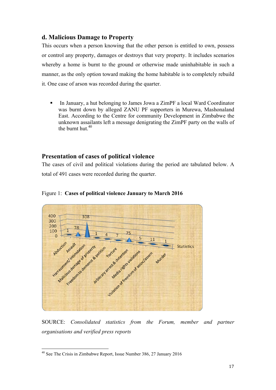## **d. Malicious Damage to Property**

This occurs when a person knowing that the other person is entitled to own, possess or control any property, damages or destroys that very property. It includes scenarios whereby a home is burnt to the ground or otherwise made uninhabitable in such a manner, as the only option toward making the home habitable is to completely rebuild it. One case of arson was recorded during the quarter.

 In January, a hut belonging to James Jowa a ZimPF a local Ward Coordinator was burnt down by alleged ZANU PF supporters in Murewa, Mashonaland East. According to the Centre for community Development in Zimbabwe the unknown assailants left a message denigrating the ZimPF party on the walls of the burnt hut  $40$ 

## **Presentation of cases of political violence**

The cases of civil and political violations during the period are tabulated below. A total of 491 cases were recorded during the quarter.



#### Figure 1: **Cases of political violence January to March 2016**

SOURCE: *Consolidated statistics from the Forum, member and partner organisations and verified press reports*

<sup>&</sup>lt;sup>40</sup> See The Crisis in Zimbabwe Report, Issue Number 386, 27 January 2016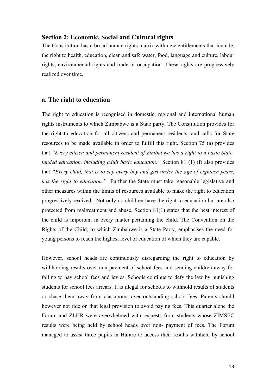#### **Section 2: Economic, Social and Cultural rights**

The Constitution has a broad human rights matrix with new entitlements that include, the right to health, education, clean and safe water, food, language and culture, labour rights, environmental rights and trade or occupation. These rights are progressively realized over time.

#### **a. The right to education**

The right to education is recognised in domestic, regional and international human rights instruments to which Zimbabwe is a State party. The Constitution provides for the right to education for all citizens and permanent residents, and calls for State resources to be made available in order to fulfill this right. Section 75 (a) provides that *"Every citizen and permanent resident of Zimbabwe has a right to a basic Statefunded education, including adult basic education."* Section 81 (1) (f) also provides that *"Every child, that is to say every boy and girl under the age of eighteen years, has the right to education."* Further the State must take reasonable legislative and other measures within the limits of resources available to make the right to education progressively realized. Not only do children have the right to education but are also protected from maltreatment and abuse. Section 81(1) states that the best interest of the child is important in every matter pertaining the child. The Convention on the Rights of the Child, to which Zimbabwe is a State Party, emphasises the need for young persons to reach the highest level of education of which they are capable.

However, school heads are continuously disregarding the right to education by withholding results over non-payment of school fees and sending children away for failing to pay school fees and levies. Schools continue to defy the law by punishing students for school fees arrears. It is illegal for schools to withhold results of students or chase them away from classrooms over outstanding school fees. Parents should however not ride on that legal provision to avoid paying fees. This quarter alone the Forum and ZLHR were overwhelmed with requests from students whose ZIMSEC results were being held by school heads over non- payment of fees. The Forum managed to assist three pupils in Harare to access their results withheld by school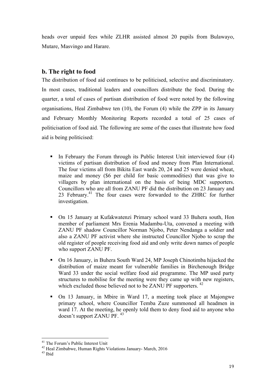heads over unpaid fees while ZLHR assisted almost 20 pupils from Bulawayo, Mutare, Masvingo and Harare.

## **b. The right to food**

The distribution of food aid continues to be politicised, selective and discriminatory. In most cases, traditional leaders and councillors distribute the food. During the quarter, a total of cases of partisan distribution of food were noted by the following organisations, Heal Zimbabwe ten (10), the Forum (4) while the ZPP in its January and February Monthly Monitoring Reports recorded a total of 25 cases of politicisation of food aid. The following are some of the cases that illustrate how food aid is being politicised:

- In February the Forum through its Public Interest Unit interviewed four  $(4)$ victims of partisan distribution of food and money from Plan International. The four victims all from Bikita East wards 20, 24 and 25 were denied wheat, maize and money (\$6 per child for basic commodities) that was give to villagers by plan international on the basis of being MDC supporters. Councillors who are all from ZANU PF did the distribution on 23 January and 23 February.<sup>41</sup> The four cases were forwarded to the ZHRC for further investigation.
- On 15 January at Kufakwatenzi Primary school ward 33 Buhera south, Hon member of parliament Mrs Erenia Madambu-Uta, convened a meeting with ZANU PF shadow Councillor Norman Njobo, Peter Nendanga a soldier and also a ZANU PF activist where she instructed Councillor Njobo to scrap the old register of people receiving food aid and only write down names of people who support ZANU PF.
- On 16 January, in Buhera South Ward 24, MP Joseph Chinotimba hijacked the distribution of maize meant for vulnerable families in Birchenough Bridge Ward 33 under the social welfare food aid programme. The MP used party structures to mobilise for the meeting were they came up with new registers, which excluded those believed not to be ZANU PF supporters.<sup>42</sup>
- On 13 January, in Mbire in Ward 17, a meeting took place at Majongwe primary school, where Councillor Temba Zuze summoned all headmen in ward 17. At the meeting, he openly told them to deny food aid to anyone who doesn't support ZANU PF. <sup>43</sup>

<sup>&</sup>lt;sup>41</sup> The Forum's Public Interest Unit

 $42$  Heal Zimbabwe, Human Rights Violations January- March, 2016<br> $43$  Ibid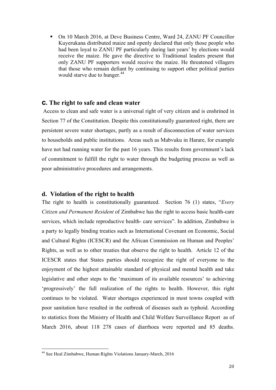On 10 March 2016, at Deve Business Centre, Ward 24, ZANU PF Councillor Kuyerukana distributed maize and openly declared that only those people who had been loyal to ZANU PF particularly during last years' by elections would receive the maize. He gave the directive to Traditional leaders present that only ZANU PF supporters would receive the maize. He threatened villagers that those who remain defiant by continuing to support other political parties would starve due to hunger.<sup>44</sup>

#### **c. The right to safe and clean water**

 Access to clean and safe water is a universal right of very citizen and is enshrined in Section 77 of the Constitution. Despite this constitutionally guaranteed right, there are persistent severe water shortages, partly as a result of disconnection of water services to households and public institutions. Areas such as Mabvuku in Harare, for example have not had running water for the past 16 years. This results from government's lack of commitment to fulfill the right to water through the budgeting process as well as poor administrative procedures and arrangements.

#### **d. Violation of the right to health**

The right to health is constitutionally guaranteed. Section 76 (1) states, "*Every Citizen and Permanent Resident* of Zimbabwe has the right to access basic health-care services, which include reproductive health- care services". In addition, Zimbabwe is a party to legally binding treaties such as International Covenant on Economic, Social and Cultural Rights (ICESCR) and the African Commission on Human and Peoples' Rights, as well as to other treaties that observe the right to health. Article 12 of the ICESCR states that States parties should recognize the right of everyone to the enjoyment of the highest attainable standard of physical and mental health and take legislative and other steps to the 'maximum of its available resources' to achieving 'progressively' the full realization of the rights to health. However, this right continues to be violated. Water shortages experienced in most towns coupled with poor sanitation have resulted in the outbreak of diseases such as typhoid. According to statistics from the Ministry of Health and Child Welfare Surveillance Report as of March 2016, about 118 278 cases of diarrhoea were reported and 85 deaths.

<sup>44</sup> See Heal Zimbabwe, Human Rights Violations January-March, 2016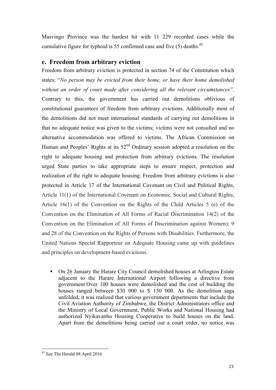Masvingo Province was the hardest hit with 11 229 recorded cases while the cumulative figure for typhoid is 55 confirmed case and five  $(5)$  deaths.<sup>45</sup>

## **e. Freedom from arbitrary eviction**

Freedom from arbitrary eviction is protected in section 74 of the Constitution which states; "*No person may be evicted from their home, or have their home demolished without an order of court made after considering all the relevant circumstances".* Contrary to this, the government has carried out demolitions oblivious of constitutional guarantees of freedom from arbitrary evictions. Additionally most of the demolitions did not meet international standards of carrying out demolitions in that no adequate notice was given to the victims; victims were not consulted and no alternative accommodation was offered to victims. The African Commission on Human and Peoples' Rights at its  $52<sup>nd</sup>$  Ordinary session adopted a resolution on the right to adequate housing and protection from arbitrary evictions. The resolution urged State parties to take appropriate steps to ensure respect, protection and realization of the right to adequate housing. Freedom from arbitrary evictions is also protected in Article 17 of the International Covenant on Civil and Political Rights, Article 11(1) of the International Covenant on Economic, Social and Cultural Rights, Article 16(1) of the Convention on the Rights of the Child Articles 5 (e) of the Convention on the Elimination of All Forms of Racial Discrimination 14(2) of the Convention on the Elimination of All Forms of Discrimination against Women); 9 and 28 of the Convention on the Rights of Persons with Disabilities. Furthermore, the United Nations Special Rapporteur on Adequate Housing came up with guidelines and principles on development-based evictions.

 On 26 January the Harare City Council demolished houses at Arlington Estate adjacent to the Harare International Airport following a directive from government Over 100 houses were demolished and the cost of building the houses ranged between \$30 000 to \$ 150 000. As the demolition saga unfolded, it was realized that various government departments that include the Civil Aviation Authority of Zimbabwe, the District Administrators office and the Ministry of Local Government, Public Works and National Housing had authorized Nyikavanhu Housing Cooperative to build houses on the land. Apart from the demolitions being carried out a court order, no notice was

<sup>&</sup>lt;sup>45</sup> See The Herald 08 April 2016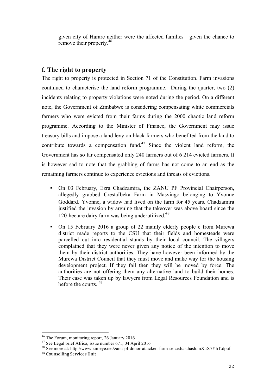given city of Harare neither were the affected families given the chance to remove their property.<sup>46</sup>

## **f. The right to property**

The right to property is protected in Section 71 of the Constitution. Farm invasions continued to characterise the land reform programme. During the quarter, two (2) incidents relating to property violations were noted during the period. On a different note, the Government of Zimbabwe is considering compensating white commercials farmers who were evicted from their farms during the 2000 chaotic land reform programme. According to the Minister of Finance, the Government may issue treasury bills and impose a land levy on black farmers who benefited from the land to contribute towards a compensation fund.<sup>47</sup> Since the violent land reform, the Government has so far compensated only 240 farmers out of 6 214 evicted farmers. It is however sad to note that the grabbing of farms has not come to an end as the remaining farmers continue to experience evictions and threats of evictions.

- On 03 February, Ezra Chadzamira, the ZANU PF Provincial Chairperson, allegedly grabbed CrestaIbeka Farm in Masvingo belonging to Yvonne Goddard. Yvonne, a widow had lived on the farm for 45 years. Chadzamira justified the invasion by arguing that the takeover was above board since the 120-hectare dairy farm was being underutilized.<sup>48</sup>
- On 15 February 2016 a group of 22 mainly elderly people e from Murewa district made reports to the CSU that their fields and homesteads were parcelled out into residential stands by their local council. The villagers complained that they were never given any notice of the intention to move them by their district authorities. They have however been informed by the Murewa District Council that they must move and make way for the housing development project. If they fail then they will be moved by force. The authorities are not offering them any alternative land to build their homes. Their case was taken up by lawyers from Legal Resources Foundation and is before the courts. <sup>49</sup>

<sup>&</sup>lt;sup>46</sup> The Forum, monitoring report, 26 January 2016 <sup>47</sup> See Legal brief Africa, issue number 671, 04 April 2016

<sup>48</sup> See more at: http://www.zimeye.net/zanu-pf-donor-attacked-farm-seized/#sthash.mXuX7YhT.dpuf

<sup>49</sup> Counselling Services Unit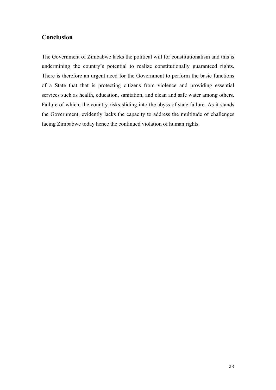## **Conclusion**

The Government of Zimbabwe lacks the political will for constitutionalism and this is undermining the country's potential to realize constitutionally guaranteed rights. There is therefore an urgent need for the Government to perform the basic functions of a State that that is protecting citizens from violence and providing essential services such as health, education, sanitation, and clean and safe water among others. Failure of which, the country risks sliding into the abyss of state failure. As it stands the Government, evidently lacks the capacity to address the multitude of challenges facing Zimbabwe today hence the continued violation of human rights.